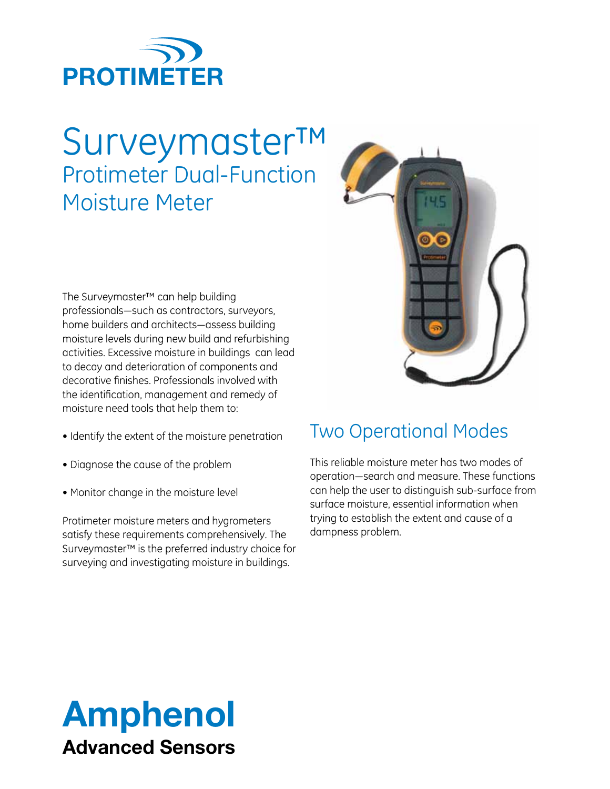

# Surveymaster™ Protimeter Dual-Function Moisture Meter

The Surveymaster™ can help building professionals—such as contractors, surveyors, home builders and architects—assess building moisture levels during new build and refurbishing activities. Excessive moisture in buildings can lead to decay and deterioration of components and decorative finishes. Professionals involved with the identification, management and remedy of moisture need tools that help them to:

- Identify the extent of the moisture penetration
- Diagnose the cause of the problem
- Monitor change in the moisture level

Protimeter moisture meters and hygrometers satisfy these requirements comprehensively. The Surveymaster™ is the preferred industry choice for surveying and investigating moisture in buildings.



## Two Operational Modes

This reliable moisture meter has two modes of operation—search and measure. These functions can help the user to distinguish sub-surface from surface moisture, essential information when trying to establish the extent and cause of a dampness problem.

# Amphenol Advanced Sensors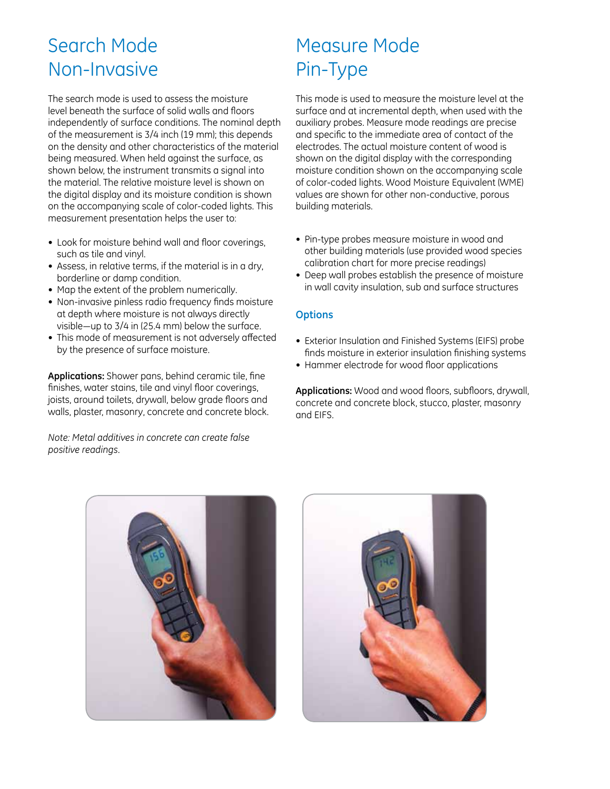## Search Mode Non-Invasive

The search mode is used to assess the moisture level beneath the surface of solid walls and floors independently of surface conditions. The nominal depth of the measurement is 3/4 inch (19 mm); this depends on the density and other characteristics of the material being measured. When held against the surface, as shown below, the instrument transmits a signal into the material. The relative moisture level is shown on the digital display and its moisture condition is shown on the accompanying scale of color-coded lights. This measurement presentation helps the user to:

- Look for moisture behind wall and floor coverings, such as tile and vinyl.
- Assess, in relative terms, if the material is in a dry, borderline or damp condition.
- Map the extent of the problem numerically.
- Non-invasive pinless radio frequency finds moisture at depth where moisture is not always directly visible—up to 3/4 in (25.4 mm) below the surface.
- This mode of measurement is not adversely affected by the presence of surface moisture.

**Applications:** Shower pans, behind ceramic tile, fine finishes, water stains, tile and vinyl floor coverings, joists, around toilets, drywall, below grade floors and walls, plaster, masonry, concrete and concrete block.

*Note: Metal additives in concrete can create false positive readings.*

## Measure Mode Pin-Type

This mode is used to measure the moisture level at the surface and at incremental depth, when used with the auxiliary probes. Measure mode readings are precise and specific to the immediate area of contact of the electrodes. The actual moisture content of wood is shown on the digital display with the corresponding moisture condition shown on the accompanying scale of color-coded lights. Wood Moisture Equivalent (WME) values are shown for other non-conductive, porous building materials.

- Pin-type probes measure moisture in wood and other building materials (use provided wood species calibration chart for more precise readings)
- Deep wall probes establish the presence of moisture in wall cavity insulation, sub and surface structures

## **Options**

- Exterior Insulation and Finished Systems (EIFS) probe finds moisture in exterior insulation finishing systems
- Hammer electrode for wood floor applications

Applications: Wood and wood floors, subfloors, drywall, concrete and concrete block, stucco, plaster, masonry and EIFS.



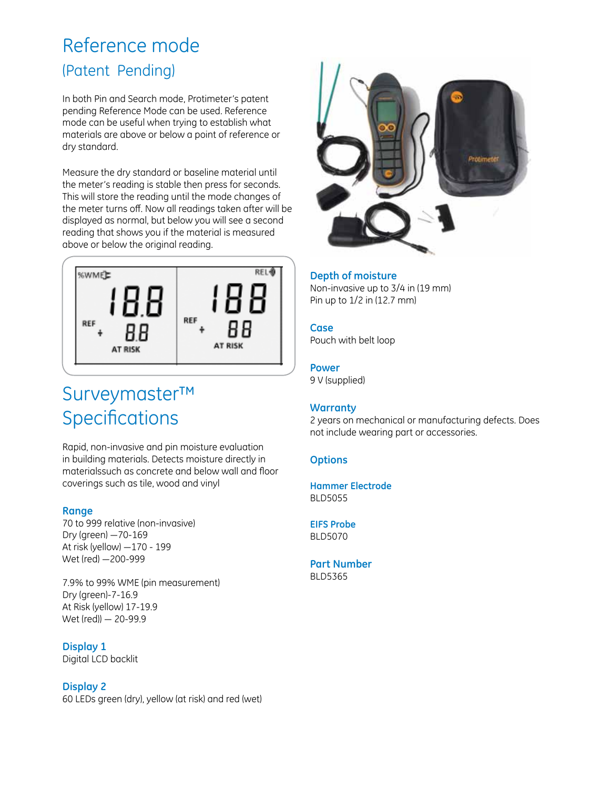## Reference mode (Patent Pending)

In both Pin and Search mode, Protimeter's patent pending Reference Mode can be used. Reference mode can be useful when trying to establish what materials are above or below a point of reference or dry standard.

Measure the dry standard or baseline material until the meter's reading is stable then press for seconds. This will store the reading until the mode changes of the meter turns off. Now all readings taken after will be displayed as normal, but below you will see a second reading that shows you if the material is measured above or below the original reading.



## Surveymaster™ Specifications

Rapid, non-invasive and pin moisture evaluation in building materials. Detects moisture directly in materialssuch as concrete and below wall and floor coverings such as tile, wood and vinyl

### **Range**

70 to 999 relative (non-invasive) Dry (green) —70-169 At risk (yellow) —170 - 199 Wet (red) —200-999

7.9% to 99% WME (pin measurement) Dry (green)-7-16.9 At Risk (yellow) 17-19.9 Wet (red)) — 20-99.9

## **Display 1**

Digital LCD backlit

### **Display 2**

60 LEDs green (dry), yellow (at risk) and red (wet)



### **Depth of moisture**

Non-invasive up to 3/4 in (19 mm) Pin up to 1/2 in (12.7 mm)

## **Case**

Pouch with belt loop

## **Power**

9 V (supplied)

### **Warranty**

2 years on mechanical or manufacturing defects. Does not include wearing part or accessories.

## **Options**

**Hammer Electrode** BLD5055

**EIFS Probe** BLD5070

## **Part Number**

BLD5365